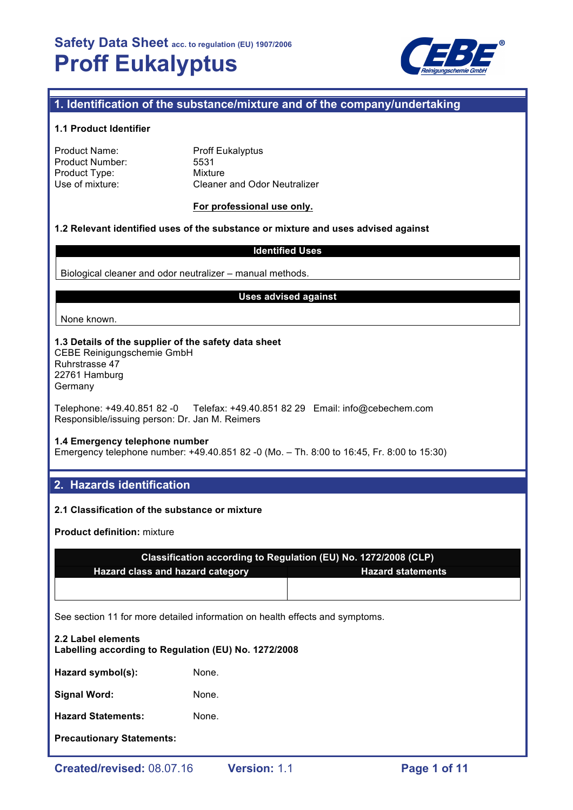

# **1. Identification of the substance/mixture and of the company/undertaking**

### **1.1 Product Identifier**

| Product Name:   |  |
|-----------------|--|
| Product Number: |  |
| Product Type:   |  |
| Use of mixture: |  |

**Proff Eukalyptus** 5531 **Mixture** Cleaner and Odor Neutralizer

#### **For professional use only.**

### **1.2 Relevant identified uses of the substance or mixture and uses advised against**

### **Identified Uses**

Biological cleaner and odor neutralizer – manual methods.

#### **Uses advised against**

None known.

# **1.3 Details of the supplier of the safety data sheet**

CEBE Reinigungschemie GmbH Ruhrstrasse 47 22761 Hamburg Germany

Telephone: +49.40.851 82 -0 Telefax: +49.40.851 82 29 Email: info@cebechem.com Responsible/issuing person: Dr. Jan M. Reimers

## **1.4 Emergency telephone number**

Emergency telephone number: +49.40.851 82 -0 (Mo. – Th. 8:00 to 16:45, Fr. 8:00 to 15:30)

## **2. Hazards identification**

## **2.1 Classification of the substance or mixture**

**Product definition:** mixture

| Classification according to Regulation (EU) No. 1272/2008 (CLP) |                          |  |  |  |
|-----------------------------------------------------------------|--------------------------|--|--|--|
| <b>Hazard class and hazard category</b>                         | <b>Hazard statements</b> |  |  |  |
|                                                                 |                          |  |  |  |

See section 11 for more detailed information on health effects and symptoms.

| 2.2 Label elements<br>Labelling according to Regulation (EU) No. 1272/2008 |       |  |  |  |
|----------------------------------------------------------------------------|-------|--|--|--|
| Hazard symbol(s):                                                          | None. |  |  |  |
| Signal Word:                                                               | None. |  |  |  |
| <b>Hazard Statements:</b>                                                  | None. |  |  |  |
| <b>Precautionary Statements:</b>                                           |       |  |  |  |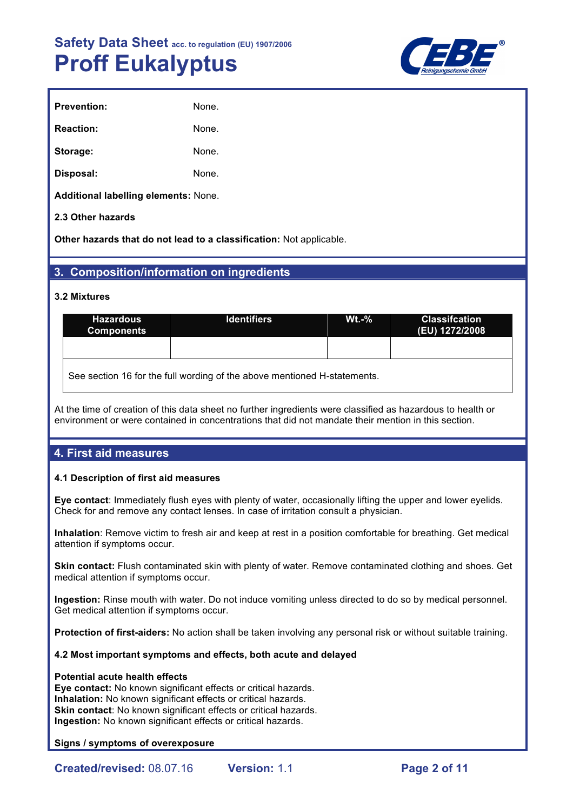

| None. |
|-------|
| None. |
| None. |
| None. |
|       |

**Additional labelling elements:** None.

## **2.3 Other hazards**

**Other hazards that do not lead to a classification:** Not applicable.

# **3. Composition/information on ingredients**

## **3.2 Mixtures**

| <b>Hazardous</b><br><b>Components</b> | <b>Identifiers</b> |  | <b>Classifcation</b><br>(EU) 1272/2008 |
|---------------------------------------|--------------------|--|----------------------------------------|
|                                       |                    |  |                                        |
| $\sim$<br>$\cdots$                    | .<br>.             |  |                                        |

See section 16 for the full wording of the above mentioned H-statements.

At the time of creation of this data sheet no further ingredients were classified as hazardous to health or environment or were contained in concentrations that did not mandate their mention in this section.

# **4. First aid measures**

## **4.1 Description of first aid measures**

**Eye contact**: Immediately flush eyes with plenty of water, occasionally lifting the upper and lower eyelids. Check for and remove any contact lenses. In case of irritation consult a physician.

**Inhalation**: Remove victim to fresh air and keep at rest in a position comfortable for breathing. Get medical attention if symptoms occur.

**Skin contact:** Flush contaminated skin with plenty of water. Remove contaminated clothing and shoes. Get medical attention if symptoms occur.

**Ingestion:** Rinse mouth with water. Do not induce vomiting unless directed to do so by medical personnel. Get medical attention if symptoms occur.

**Protection of first-aiders:** No action shall be taken involving any personal risk or without suitable training.

## **4.2 Most important symptoms and effects, both acute and delayed**

#### **Potential acute health effects**

**Eye contact:** No known significant effects or critical hazards. **Inhalation:** No known significant effects or critical hazards. **Skin contact:** No known significant effects or critical hazards. **Ingestion:** No known significant effects or critical hazards.

## **Signs / symptoms of overexposure**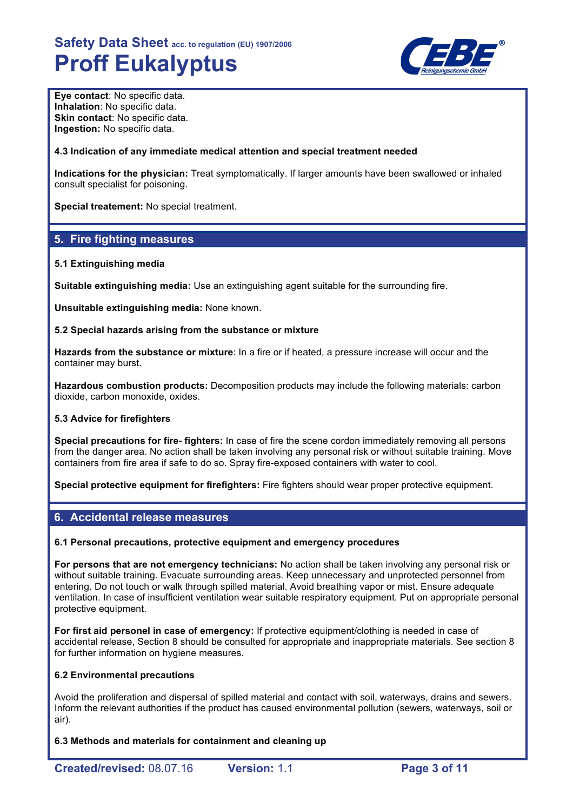

**Eye contact**: No specific data. **Inhalation**: No specific data. **Skin contact: No specific data. Ingestion:** No specific data.

## **4.3 Indication of any immediate medical attention and special treatment needed**

**Indications for the physician:** Treat symptomatically. If larger amounts have been swallowed or inhaled consult specialist for poisoning.

**Special treatement:** No special treatment.

# **5. Fire fighting measures**

## **5.1 Extinguishing media**

**Suitable extinguishing media:** Use an extinguishing agent suitable for the surrounding fire.

**Unsuitable extinguishing media:** None known.

## **5.2 Special hazards arising from the substance or mixture**

**Hazards from the substance or mixture**: In a fire or if heated, a pressure increase will occur and the container may burst.

**Hazardous combustion products:** Decomposition products may include the following materials: carbon dioxide, carbon monoxide, oxides.

## **5.3 Advice for firefighters**

**Special precautions for fire- fighters:** In case of fire the scene cordon immediately removing all persons from the danger area. No action shall be taken involving any personal risk or without suitable training. Move containers from fire area if safe to do so. Spray fire-exposed containers with water to cool.

**Special protective equipment for firefighters:** Fire fighters should wear proper protective equipment.

# **6. Accidental release measures**

## **6.1 Personal precautions, protective equipment and emergency procedures**

**For persons that are not emergency technicians:** No action shall be taken involving any personal risk or without suitable training. Evacuate surrounding areas. Keep unnecessary and unprotected personnel from entering. Do not touch or walk through spilled material. Avoid breathing vapor or mist. Ensure adequate ventilation. In case of insufficient ventilation wear suitable respiratory equipment. Put on appropriate personal protective equipment.

**For first aid personel in case of emergency:** If protective equipment/clothing is needed in case of accidental release, Section 8 should be consulted for appropriate and inappropriate materials. See section 8 for further information on hygiene measures.

## **6.2 Environmental precautions**

Avoid the proliferation and dispersal of spilled material and contact with soil, waterways, drains and sewers. Inform the relevant authorities if the product has caused environmental pollution (sewers, waterways, soil or air).

**6.3 Methods and materials for containment and cleaning up**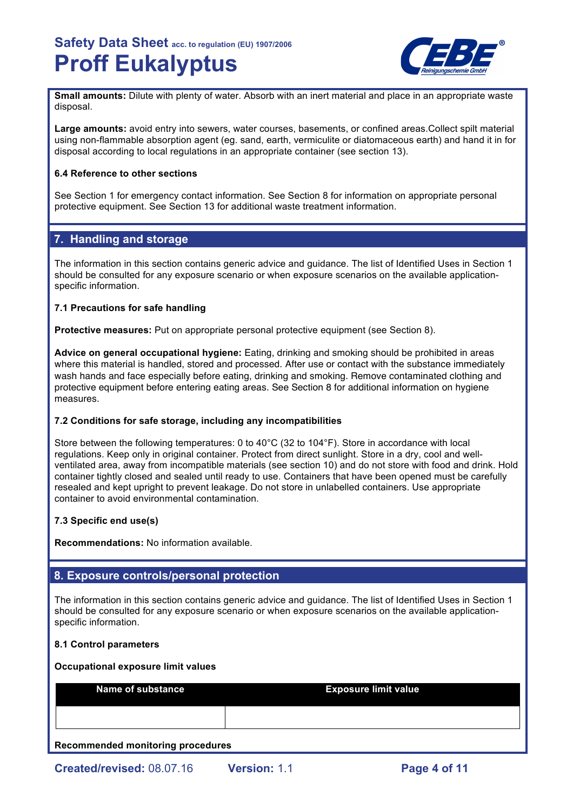

**Small amounts:** Dilute with plenty of water. Absorb with an inert material and place in an appropriate waste disposal.

**Large amounts:** avoid entry into sewers, water courses, basements, or confined areas.Collect spilt material using non-flammable absorption agent (eg. sand, earth, vermiculite or diatomaceous earth) and hand it in for disposal according to local regulations in an appropriate container (see section 13).

## **6.4 Reference to other sections**

See Section 1 for emergency contact information. See Section 8 for information on appropriate personal protective equipment. See Section 13 for additional waste treatment information.

# **7. Handling and storage**

The information in this section contains generic advice and guidance. The list of Identified Uses in Section 1 should be consulted for any exposure scenario or when exposure scenarios on the available applicationspecific information.

## **7.1 Precautions for safe handling**

**Protective measures:** Put on appropriate personal protective equipment (see Section 8).

**Advice on general occupational hygiene:** Eating, drinking and smoking should be prohibited in areas where this material is handled, stored and processed. After use or contact with the substance immediately wash hands and face especially before eating, drinking and smoking. Remove contaminated clothing and protective equipment before entering eating areas. See Section 8 for additional information on hygiene measures.

## **7.2 Conditions for safe storage, including any incompatibilities**

Store between the following temperatures: 0 to 40°C (32 to 104°F). Store in accordance with local regulations. Keep only in original container. Protect from direct sunlight. Store in a dry, cool and wellventilated area, away from incompatible materials (see section 10) and do not store with food and drink. Hold container tightly closed and sealed until ready to use. Containers that have been opened must be carefully resealed and kept upright to prevent leakage. Do not store in unlabelled containers. Use appropriate container to avoid environmental contamination.

## **7.3 Specific end use(s)**

**Recommendations:** No information available.

# **8. Exposure controls/personal protection**

The information in this section contains generic advice and guidance. The list of Identified Uses in Section 1 should be consulted for any exposure scenario or when exposure scenarios on the available applicationspecific information.

## **8.1 Control parameters**

#### **Occupational exposure limit values**

| <b>Name of substance</b> | <b>Exposure limit value</b> |  |
|--------------------------|-----------------------------|--|
|                          |                             |  |

**Recommended monitoring procedures**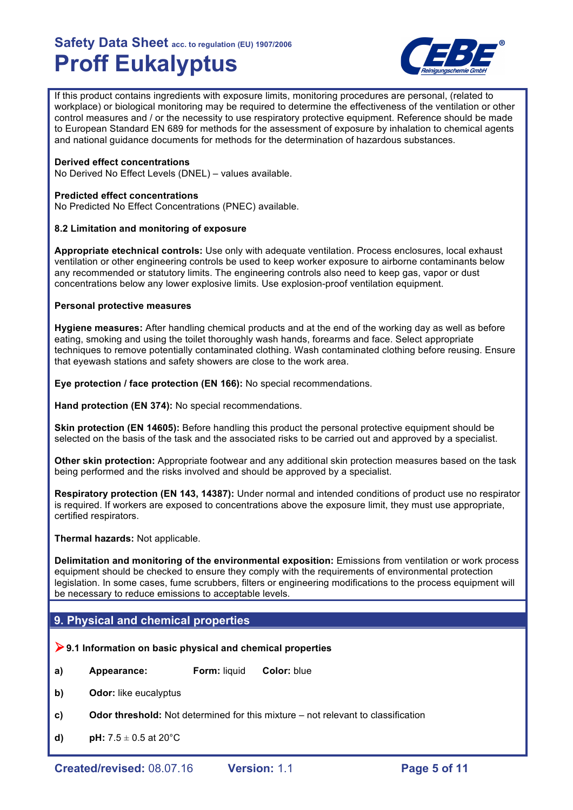

If this product contains ingredients with exposure limits, monitoring procedures are personal, (related to workplace) or biological monitoring may be required to determine the effectiveness of the ventilation or other control measures and / or the necessity to use respiratory protective equipment. Reference should be made to European Standard EN 689 for methods for the assessment of exposure by inhalation to chemical agents and national guidance documents for methods for the determination of hazardous substances.

## **Derived effect concentrations**

No Derived No Effect Levels (DNEL) – values available.

#### **Predicted effect concentrations**

No Predicted No Effect Concentrations (PNEC) available.

## **8.2 Limitation and monitoring of exposure**

**Appropriate etechnical controls:** Use only with adequate ventilation. Process enclosures, local exhaust ventilation or other engineering controls be used to keep worker exposure to airborne contaminants below any recommended or statutory limits. The engineering controls also need to keep gas, vapor or dust concentrations below any lower explosive limits. Use explosion-proof ventilation equipment.

#### **Personal protective measures**

**Hygiene measures:** After handling chemical products and at the end of the working day as well as before eating, smoking and using the toilet thoroughly wash hands, forearms and face. Select appropriate techniques to remove potentially contaminated clothing. Wash contaminated clothing before reusing. Ensure that eyewash stations and safety showers are close to the work area.

**Eye protection / face protection (EN 166):** No special recommendations.

**Hand protection (EN 374):** No special recommendations.

**Skin protection (EN 14605):** Before handling this product the personal protective equipment should be selected on the basis of the task and the associated risks to be carried out and approved by a specialist.

**Other skin protection:** Appropriate footwear and any additional skin protection measures based on the task being performed and the risks involved and should be approved by a specialist.

**Respiratory protection (EN 143, 14387):** Under normal and intended conditions of product use no respirator is required. If workers are exposed to concentrations above the exposure limit, they must use appropriate, certified respirators.

**Thermal hazards:** Not applicable.

**Delimitation and monitoring of the environmental exposition:** Emissions from ventilation or work process equipment should be checked to ensure they comply with the requirements of environmental protection legislation. In some cases, fume scrubbers, filters or engineering modifications to the process equipment will be necessary to reduce emissions to acceptable levels.

# **9. Physical and chemical properties**

#### !**9.1 Information on basic physical and chemical properties**

- **a) Appearance: Form:** liquid **Color:** blue
- **b) Odor:** like eucalyptus
- **c) Odor threshold:** Not determined for this mixture not relevant to classification
- **d) pH:**  $7.5 \pm 0.5$  at  $20^{\circ}$ C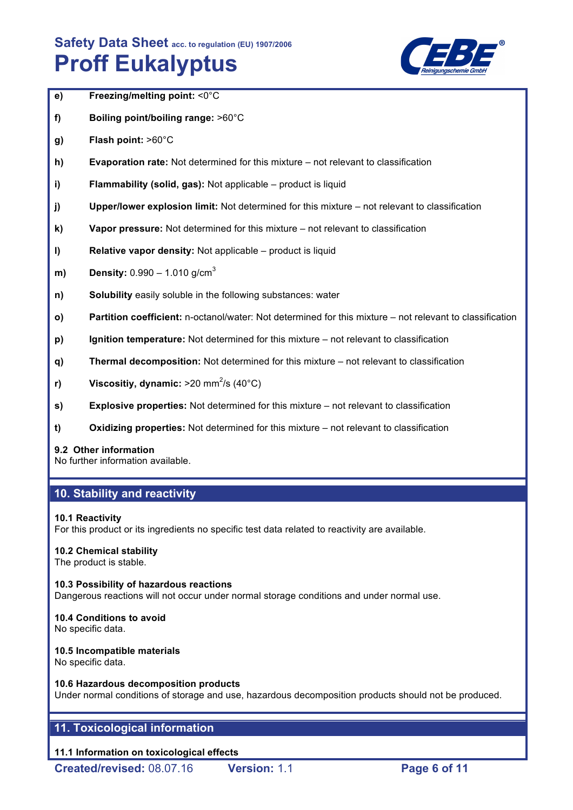

- **e) Freezing/melting point:** <0°C
- **f) Boiling point/boiling range:** >60°C
- **g) Flash point:** >60°C
- **h) Evaporation rate:** Not determined for this mixture not relevant to classification
- **i) Flammability (solid, gas):** Not applicable product is liquid
- **j) Upper/lower explosion limit:** Not determined for this mixture not relevant to classification
- **k) Vapor pressure:** Not determined for this mixture not relevant to classification
- **l) Relative vapor density:** Not applicable product is liquid
- **m) Density:** 0.990 1.010 g/cm<sup>3</sup>
- **n) Solubility** easily soluble in the following substances: water
- **o) Partition coefficient:** n-octanol/water: Not determined for this mixture not relevant to classification
- **p) Ignition temperature:** Not determined for this mixture not relevant to classification
- **q) Thermal decomposition:** Not determined for this mixture not relevant to classification
- **r) Viscositiy, dynamic:** >20 mm<sup>2</sup>/s (40°C)
- **s) Explosive properties:** Not determined for this mixture not relevant to classification
- **t) Oxidizing properties:** Not determined for this mixture not relevant to classification

## **9.2 Other information**

No further information available.

# **10. Stability and reactivity**

## **10.1 Reactivity**

For this product or its ingredients no specific test data related to reactivity are available.

## **10.2 Chemical stability**

The product is stable.

# **10.3 Possibility of hazardous reactions**

Dangerous reactions will not occur under normal storage conditions and under normal use.

# **10.4 Conditions to avoid**

No specific data.

## **10.5 Incompatible materials**

No specific data.

## **10.6 Hazardous decomposition products**

Under normal conditions of storage and use, hazardous decomposition products should not be produced.

# **11. Toxicological information**

# **11.1 Information on toxicological effects**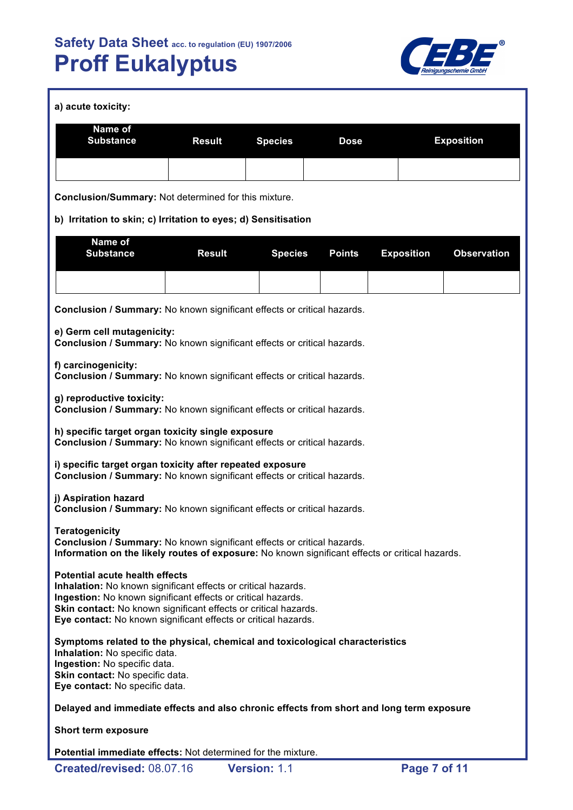

| a) acute toxicity:                                                                                                                                                                                                                                                                                          |               |                |               |                   |                    |  |
|-------------------------------------------------------------------------------------------------------------------------------------------------------------------------------------------------------------------------------------------------------------------------------------------------------------|---------------|----------------|---------------|-------------------|--------------------|--|
| Name of<br><b>Substance</b>                                                                                                                                                                                                                                                                                 | <b>Result</b> | <b>Species</b> | <b>Dose</b>   |                   | <b>Exposition</b>  |  |
|                                                                                                                                                                                                                                                                                                             |               |                |               |                   |                    |  |
| Conclusion/Summary: Not determined for this mixture.                                                                                                                                                                                                                                                        |               |                |               |                   |                    |  |
| b) Irritation to skin; c) Irritation to eyes; d) Sensitisation                                                                                                                                                                                                                                              |               |                |               |                   |                    |  |
| Name of<br><b>Substance</b>                                                                                                                                                                                                                                                                                 | <b>Result</b> | <b>Species</b> | <b>Points</b> | <b>Exposition</b> | <b>Observation</b> |  |
|                                                                                                                                                                                                                                                                                                             |               |                |               |                   |                    |  |
| Conclusion / Summary: No known significant effects or critical hazards.                                                                                                                                                                                                                                     |               |                |               |                   |                    |  |
| e) Germ cell mutagenicity:<br>Conclusion / Summary: No known significant effects or critical hazards.                                                                                                                                                                                                       |               |                |               |                   |                    |  |
| f) carcinogenicity:<br>Conclusion / Summary: No known significant effects or critical hazards.                                                                                                                                                                                                              |               |                |               |                   |                    |  |
| g) reproductive toxicity:<br>Conclusion / Summary: No known significant effects or critical hazards.                                                                                                                                                                                                        |               |                |               |                   |                    |  |
| h) specific target organ toxicity single exposure<br>Conclusion / Summary: No known significant effects or critical hazards.                                                                                                                                                                                |               |                |               |                   |                    |  |
| i) specific target organ toxicity after repeated exposure<br>Conclusion / Summary: No known significant effects or critical hazards.                                                                                                                                                                        |               |                |               |                   |                    |  |
| j) Aspiration hazard<br>Conclusion / Summary: No known significant effects or critical hazards.                                                                                                                                                                                                             |               |                |               |                   |                    |  |
| <b>Teratogenicity</b><br>Conclusion / Summary: No known significant effects or critical hazards.<br>Information on the likely routes of exposure: No known significant effects or critical hazards.                                                                                                         |               |                |               |                   |                    |  |
| <b>Potential acute health effects</b><br>Inhalation: No known significant effects or critical hazards.<br>Ingestion: No known significant effects or critical hazards.<br>Skin contact: No known significant effects or critical hazards.<br>Eye contact: No known significant effects or critical hazards. |               |                |               |                   |                    |  |
| Symptoms related to the physical, chemical and toxicological characteristics<br>Inhalation: No specific data.<br>Ingestion: No specific data.<br>Skin contact: No specific data.<br>Eye contact: No specific data.                                                                                          |               |                |               |                   |                    |  |
| Delayed and immediate effects and also chronic effects from short and long term exposure                                                                                                                                                                                                                    |               |                |               |                   |                    |  |
| Short term exposure                                                                                                                                                                                                                                                                                         |               |                |               |                   |                    |  |
| Potential immediate effects: Not determined for the mixture.                                                                                                                                                                                                                                                |               |                |               |                   |                    |  |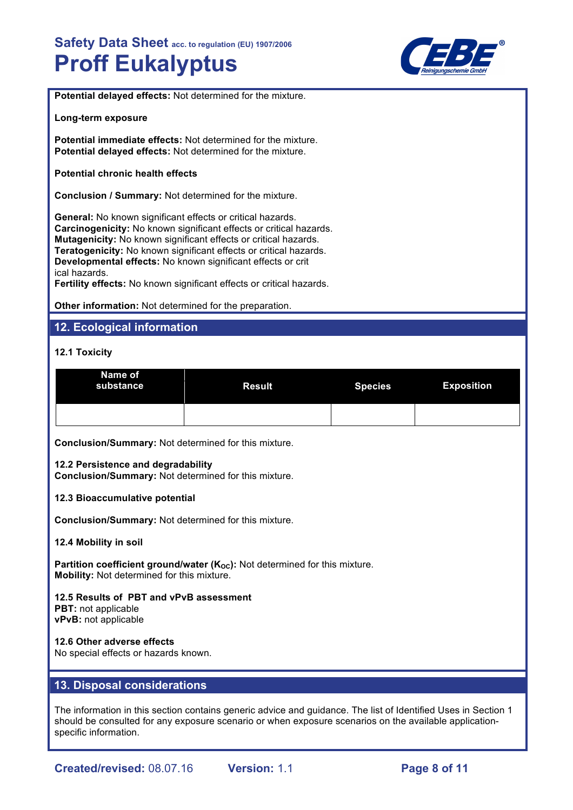

**Potential delayed effects:** Not determined for the mixture.

**Long-term exposure**

**Potential immediate effects:** Not determined for the mixture. **Potential delayed effects:** Not determined for the mixture.

**Potential chronic health effects**

**Conclusion / Summary:** Not determined for the mixture.

**General:** No known significant effects or critical hazards. **Carcinogenicity:** No known significant effects or critical hazards. **Mutagenicity:** No known significant effects or critical hazards. **Teratogenicity:** No known significant effects or critical hazards. **Developmental effects:** No known significant effects or crit ical hazards.

**Fertility effects:** No known significant effects or critical hazards.

**Other information:** Not determined for the preparation.

# **12. Ecological information**

#### **12.1 Toxicity**

| Name of<br>substance | <b>Result</b> | <b>Species</b> | <b>Exposition</b> |
|----------------------|---------------|----------------|-------------------|
|                      |               |                |                   |

**Conclusion/Summary:** Not determined for this mixture.

#### **12.2 Persistence and degradability**

**Conclusion/Summary:** Not determined for this mixture.

#### **12.3 Bioaccumulative potential**

**Conclusion/Summary:** Not determined for this mixture.

#### **12.4 Mobility in soil**

**Partition coefficient ground/water (K<sub>OC</sub>):** Not determined for this mixture. **Mobility:** Not determined for this mixture.

**12.5 Results of PBT and vPvB assessment PBT:** not applicable **vPvB:** not applicable

**12.6 Other adverse effects**

No special effects or hazards known.

# **13. Disposal considerations**

The information in this section contains generic advice and guidance. The list of Identified Uses in Section 1 should be consulted for any exposure scenario or when exposure scenarios on the available applicationspecific information.

**Created/revised:** 08.07.16 **Version:** 1.1 **Page 8 of 11**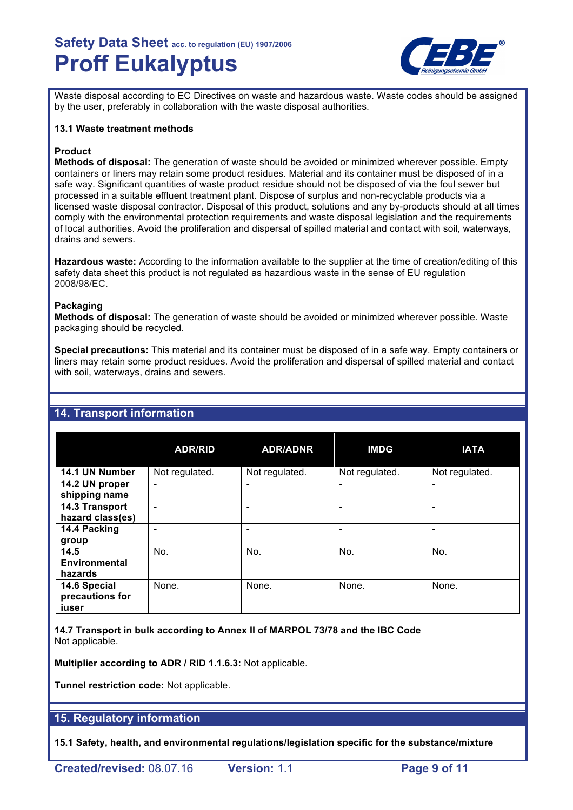

Waste disposal according to EC Directives on waste and hazardous waste. Waste codes should be assigned by the user, preferably in collaboration with the waste disposal authorities.

#### **13.1 Waste treatment methods**

## **Product**

**Methods of disposal:** The generation of waste should be avoided or minimized wherever possible. Empty containers or liners may retain some product residues. Material and its container must be disposed of in a safe way. Significant quantities of waste product residue should not be disposed of via the foul sewer but processed in a suitable effluent treatment plant. Dispose of surplus and non-recyclable products via a licensed waste disposal contractor. Disposal of this product, solutions and any by-products should at all times comply with the environmental protection requirements and waste disposal legislation and the requirements of local authorities. Avoid the proliferation and dispersal of spilled material and contact with soil, waterways, drains and sewers.

**Hazardous waste:** According to the information available to the supplier at the time of creation/editing of this safety data sheet this product is not regulated as hazardious waste in the sense of EU regulation 2008/98/EC.

## **Packaging**

**Methods of disposal:** The generation of waste should be avoided or minimized wherever possible. Waste packaging should be recycled.

**Special precautions:** This material and its container must be disposed of in a safe way. Empty containers or liners may retain some product residues. Avoid the proliferation and dispersal of spilled material and contact with soil, waterways, drains and sewers.

|                  | <b>ADR/RID</b>               | <b>ADR/ADNR</b>          | <b>IMDG</b>    | <b>IATA</b>              |
|------------------|------------------------------|--------------------------|----------------|--------------------------|
| 14.1 UN Number   | Not regulated.               | Not regulated.           | Not regulated. | Not regulated.           |
| 14.2 UN proper   | $\qquad \qquad \blacksquare$ | $\overline{\phantom{0}}$ | -              | $\overline{\phantom{0}}$ |
| shipping name    |                              |                          |                |                          |
| 14.3 Transport   | $\overline{\phantom{0}}$     | ۰                        | -              | -                        |
| hazard class(es) |                              |                          |                |                          |
| 14.4 Packing     | -                            |                          |                | -                        |
| group            |                              |                          |                |                          |
| 14.5             | No.                          | No.                      | No.            | No.                      |
| Environmental    |                              |                          |                |                          |
| hazards          |                              |                          |                |                          |
| 14.6 Special     | None.                        | None.                    | None.          | None.                    |
| precautions for  |                              |                          |                |                          |
| iuser            |                              |                          |                |                          |

# **14. Transport information**

**14.7 Transport in bulk according to Annex II of MARPOL 73/78 and the IBC Code** Not applicable.

**Multiplier according to ADR / RID 1.1.6.3:** Not applicable.

**Tunnel restriction code:** Not applicable.

# **15. Regulatory information**

**15.1 Safety, health, and environmental regulations/legislation specific for the substance/mixture**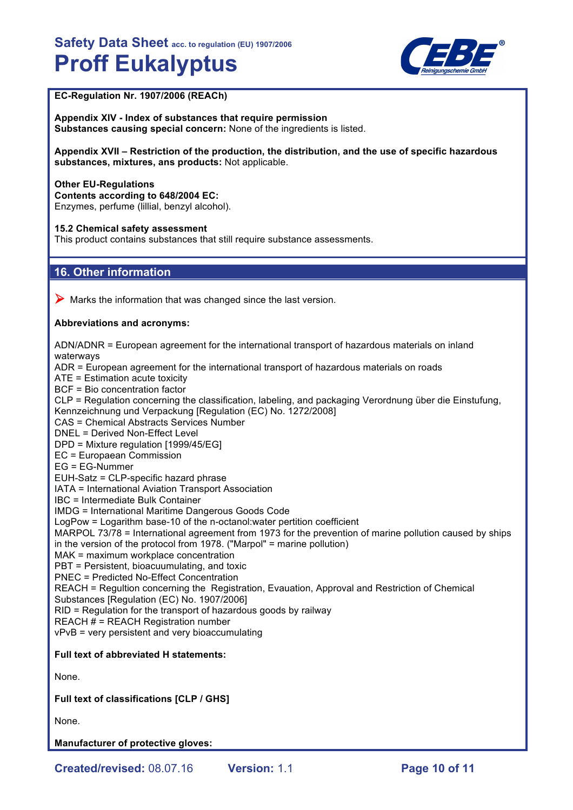

# **EC-Regulation Nr. 1907/2006 (REACh)**

**Appendix XIV - Index of substances that require permission Substances causing special concern:** None of the ingredients is listed.

**Appendix XVII – Restriction of the production, the distribution, and the use of specific hazardous substances, mixtures, ans products:** Not applicable.

**Other EU-Regulations Contents according to 648/2004 EC:** Enzymes, perfume (lillial, benzyl alcohol).

#### **15.2 Chemical safety assessment**

This product contains substances that still require substance assessments.

# **16. Other information**

 $\triangleright$  Marks the information that was changed since the last version.

#### **Abbreviations and acronyms:**

ADN/ADNR = European agreement for the international transport of hazardous materials on inland waterways ADR = European agreement for the international transport of hazardous materials on roads ATE = Estimation acute toxicity BCF = Bio concentration factor CLP = Regulation concerning the classification, labeling, and packaging Verordnung über die Einstufung, Kennzeichnung und Verpackung [Regulation (EC) No. 1272/2008] CAS = Chemical Abstracts Services Number DNEL = Derived Non-Effect Level DPD = Mixture regulation [1999/45/EG] EC = Europaean Commission EG = EG-Nummer EUH-Satz = CLP-specific hazard phrase IATA = International Aviation Transport Association IBC = Intermediate Bulk Container IMDG = International Maritime Dangerous Goods Code LogPow = Logarithm base-10 of the n-octanol:water pertition coefficient MARPOL 73/78 = International agreement from 1973 for the prevention of marine pollution caused by ships in the version of the protocol from 1978. ("Marpol" = marine pollution) MAK = maximum workplace concentration PBT = Persistent, bioacuumulating, and toxic PNEC = Predicted No-Effect Concentration REACH = Regultion concerning the Registration, Evauation, Approval and Restriction of Chemical Substances [Regulation (EC) No. 1907/2006] RID = Regulation for the transport of hazardous goods by railway REACH  $H = REACH$  Registration number vPvB = very persistent and very bioaccumulating **Full text of abbreviated H statements:** None. **Full text of classifications [CLP / GHS]**

None.

**Manufacturer of protective gloves:**